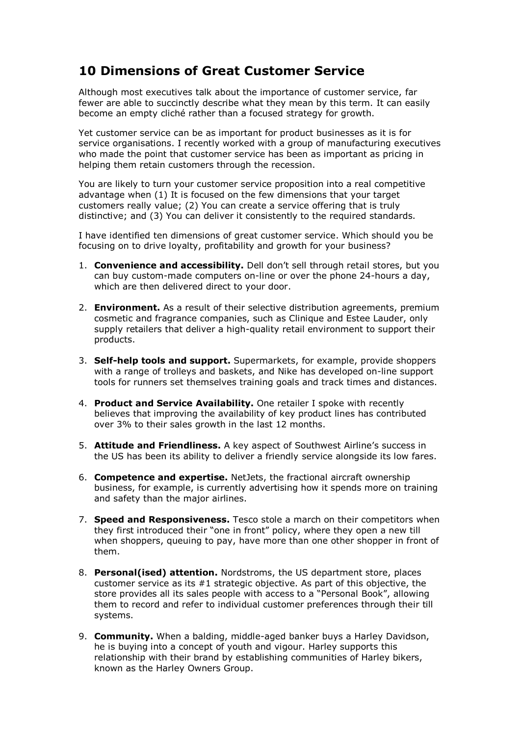## **10 Dimensions of Great Customer Service**

Although most executives talk about the importance of customer service, far fewer are able to succinctly describe what they mean by this term. It can easily become an empty cliché rather than a focused strategy for growth.

Yet customer service can be as important for product businesses as it is for service organisations. I recently worked with a group of manufacturing executives who made the point that customer service has been as important as pricing in helping them retain customers through the recession.

You are likely to turn your customer service proposition into a real competitive advantage when (1) It is focused on the few dimensions that your target customers really value; (2) You can create a service offering that is truly distinctive; and (3) You can deliver it consistently to the required standards.

I have identified ten dimensions of great customer service. Which should you be focusing on to drive loyalty, profitability and growth for your business?

- 1. **Convenience and accessibility.** Dell don't sell through retail stores, but you can buy custom-made computers on-line or over the phone 24-hours a day, which are then delivered direct to your door.
- 2. **Environment.** As a result of their selective distribution agreements, premium cosmetic and fragrance companies, such as Clinique and Estee Lauder, only supply retailers that deliver a high-quality retail environment to support their products.
- 3. **Self-help tools and support.** Supermarkets, for example, provide shoppers with a range of trolleys and baskets, and Nike has developed on-line support tools for runners set themselves training goals and track times and distances.
- 4. **Product and Service Availability.** One retailer I spoke with recently believes that improving the availability of key product lines has contributed over 3% to their sales growth in the last 12 months.
- 5. **Attitude and Friendliness.** A key aspect of Southwest Airline's success in the US has been its ability to deliver a friendly service alongside its low fares.
- 6. **Competence and expertise.** NetJets, the fractional aircraft ownership business, for example, is currently advertising how it spends more on training and safety than the major airlines.
- 7. **Speed and Responsiveness.** Tesco stole a march on their competitors when they first introduced their "one in front" policy, where they open a new till when shoppers, queuing to pay, have more than one other shopper in front of them.
- 8. **Personal(ised) attention.** Nordstroms, the US department store, places customer service as its #1 strategic objective. As part of this objective, the store provides all its sales people with access to a "Personal Book", allowing them to record and refer to individual customer preferences through their till systems.
- 9. **Community.** When a balding, middle-aged banker buys a Harley Davidson, he is buying into a concept of youth and vigour. Harley supports this relationship with their brand by establishing communities of Harley bikers, known as the Harley Owners Group.